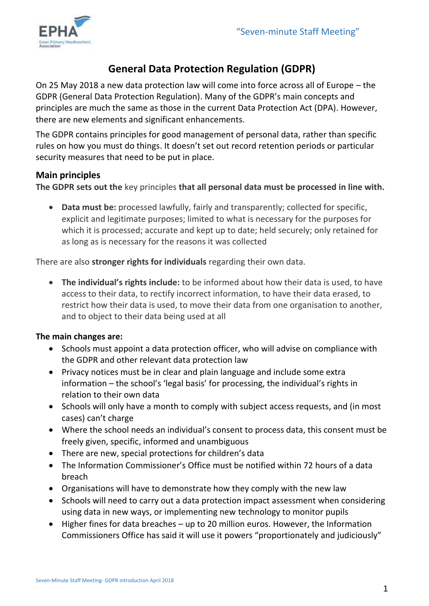

# **General Data Protection Regulation (GDPR)**

On 25 May 2018 a new data protection law will come into force across all of Europe – the GDPR (General Data Protection Regulation). Many of the GDPR's main concepts and principles are much the same as those in the current Data Protection Act (DPA). However, there are new elements and significant enhancements.

The GDPR contains principles for good management of personal data, rather than specific rules on how you must do things. It doesn't set out record retention periods or particular security measures that need to be put in place.

## **Main principles**

**The GDPR sets out the** key principles **that all personal data must be processed in line with.** 

 **Data must be:** processed lawfully, fairly and transparently; collected for specific, explicit and legitimate purposes; limited to what is necessary for the purposes for which it is processed; accurate and kept up to date; held securely; only retained for as long as is necessary for the reasons it was collected

There are also **stronger rights for individuals** regarding their own data.

 **The individual's rights include:** to be informed about how their data is used, to have access to their data, to rectify incorrect information, to have their data erased, to restrict how their data is used, to move their data from one organisation to another, and to object to their data being used at all

## **The main changes are:**

- Schools must appoint a data protection officer, who will advise on compliance with the GDPR and other relevant data protection law
- Privacy notices must be in clear and plain language and include some extra information – the school's 'legal basis' for processing, the individual's rights in relation to their own data
- Schools will only have a month to comply with subject access requests, and (in most cases) can't charge
- Where the school needs an individual's consent to process data, this consent must be freely given, specific, informed and unambiguous
- There are new, special protections for children's data
- The Information Commissioner's Office must be notified within 72 hours of a data breach
- Organisations will have to demonstrate how they comply with the new law
- Schools will need to carry out a data protection impact assessment when considering using data in new ways, or implementing new technology to monitor pupils
- Higher fines for data breaches up to 20 million euros. However, the Information Commissioners Office has said it will use it powers "proportionately and judiciously"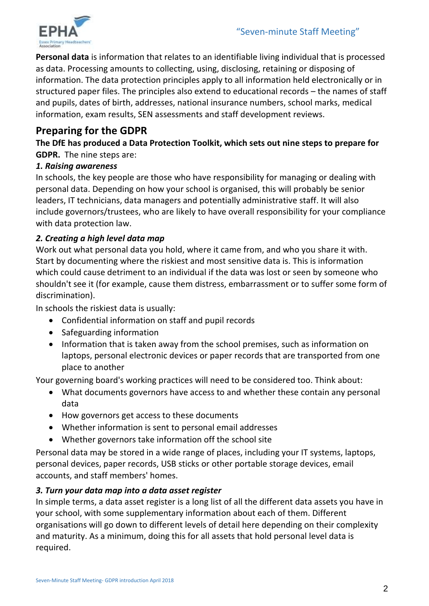

**Personal data** is information that relates to an identifiable living individual that is processed as data. Processing amounts to collecting, using, disclosing, retaining or disposing of information. The data protection principles apply to all information held electronically or in structured paper files. The principles also extend to educational records – the names of staff and pupils, dates of birth, addresses, national insurance numbers, school marks, medical information, exam results, SEN assessments and staff development reviews.

## **Preparing for the GDPR**

**The DfE has produced a Data Protection Toolkit, which sets out nine steps to prepare for GDPR.** The nine steps are:

#### *1. Raising awareness*

In schools, the key people are those who have responsibility for managing or dealing with personal data. Depending on how your school is organised, this will probably be senior leaders, IT technicians, data managers and potentially administrative staff. It will also include governors/trustees, who are likely to have overall responsibility for your compliance with data protection law.

## *2. Creating a high level data map*

Work out what personal data you hold, where it came from, and who you share it with. Start by documenting where the riskiest and most sensitive data is. This is information which could cause detriment to an individual if the data was lost or seen by someone who shouldn't see it (for example, cause them distress, embarrassment or to suffer some form of discrimination).

In schools the riskiest data is usually:

- Confidential information on staff and pupil records
- Safeguarding information
- Information that is taken away from the school premises, such as information on laptops, personal electronic devices or paper records that are transported from one place to another

Your governing board's working practices will need to be considered too. Think about:

- What documents governors have access to and whether these contain any personal data
- How governors get access to these documents
- Whether information is sent to personal email addresses
- Whether governors take information off the school site

Personal data may be stored in a wide range of places, including your IT systems, laptops, personal devices, paper records, USB sticks or other portable storage devices, email accounts, and staff members' homes.

## *3. Turn your data map into a data asset register*

In simple terms, a data asset register is a long list of all the different data assets you have in your school, with some supplementary information about each of them. Different organisations will go down to different levels of detail here depending on their complexity and maturity. As a minimum, doing this for all assets that hold personal level data is required.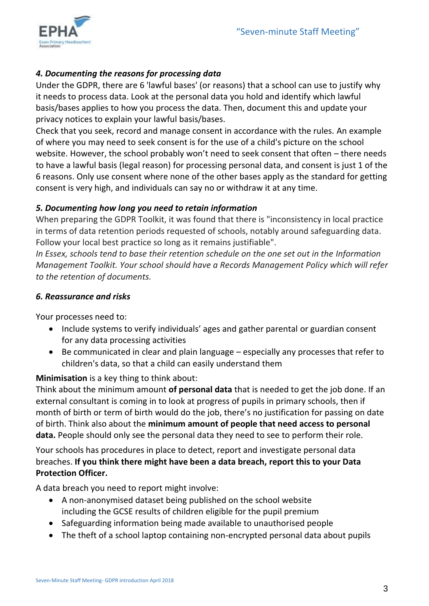

## *4. Documenting the reasons for processing data*

Under the GDPR, there are 6 'lawful bases' (or reasons) that a school can use to justify why it needs to process data. Look at the personal data you hold and identify which lawful basis/bases applies to how you process the data. Then, document this and update your privacy notices to explain your lawful basis/bases.

Check that you seek, record and manage consent in accordance with the rules. An example of where you may need to seek consent is for the use of a child's picture on the school website. However, the school probably won't need to seek consent that often – there needs to have a lawful basis (legal reason) for processing personal data, and consent is just 1 of the 6 reasons. Only use consent where none of the other bases apply as the standard for getting consent is very high, and individuals can say no or withdraw it at any time.

## *5. Documenting how long you need to retain information*

When preparing the GDPR Toolkit, it was found that there is "inconsistency in local practice in terms of data retention periods requested of schools, notably around safeguarding data. Follow your local best practice so long as it remains justifiable".

*In Essex, schools tend to base their retention schedule on the one set out in the Information Management Toolkit. Your school should have a Records Management Policy which will refer to the retention of documents.*

#### *6. Reassurance and risks*

Your processes need to:

- Include systems to verify individuals' ages and gather parental or guardian consent for any data processing activities
- Be communicated in clear and plain language especially any processes that refer to children's data, so that a child can easily understand them

## **Minimisation** is a key thing to think about:

Think about the minimum amount **of personal data** that is needed to get the job done. If an external consultant is coming in to look at progress of pupils in primary schools, then if month of birth or term of birth would do the job, there's no justification for passing on date of birth. Think also about the **minimum amount of people that need access to personal data.** People should only see the personal data they need to see to perform their role.

Your schools has procedures in place to detect, report and investigate personal data breaches. **If you think there might have been a data breach, report this to your Data Protection Officer.**

A data breach you need to report might involve:

- A non-anonymised dataset being published on the school website including the GCSE results of children eligible for the pupil premium
- Safeguarding information being made available to unauthorised people
- The theft of a school laptop containing non-encrypted personal data about pupils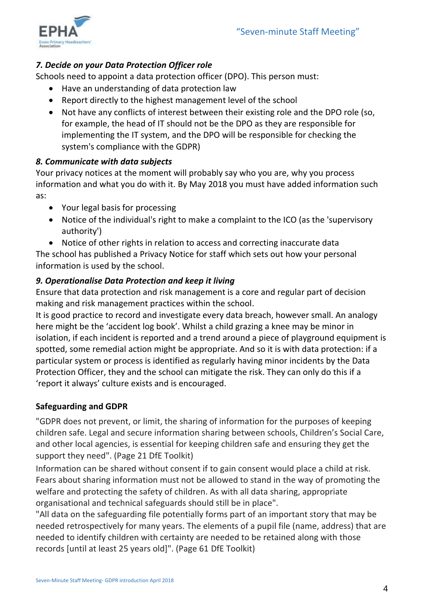

## *7. Decide on your Data Protection Officer role*

Schools need to appoint a data protection officer (DPO). This person must:

- Have an understanding of data protection law
- Report directly to the highest management level of the school
- Not have any conflicts of interest between their existing role and the DPO role (so, for example, the head of IT should not be the DPO as they are responsible for implementing the IT system, and the DPO will be responsible for checking the system's compliance with the GDPR)

## *8. Communicate with data subjects*

Your privacy notices at the moment will probably say who you are, why you process information and what you do with it. By May 2018 you must have added information such as:

- Your legal basis for processing
- Notice of the individual's right to make a complaint to the ICO (as the 'supervisory authority')
- Notice of other rights in relation to access and correcting inaccurate data

The school has published a Privacy Notice for staff which sets out how your personal information is used by the school.

## *9. Operationalise Data Protection and keep it living*

Ensure that data protection and risk management is a core and regular part of decision making and risk management practices within the school.

It is good practice to record and investigate every data breach, however small. An analogy here might be the 'accident log book'. Whilst a child grazing a knee may be minor in isolation, if each incident is reported and a trend around a piece of playground equipment is spotted, some remedial action might be appropriate. And so it is with data protection: if a particular system or process is identified as regularly having minor incidents by the Data Protection Officer, they and the school can mitigate the risk. They can only do this if a 'report it always' culture exists and is encouraged.

## **Safeguarding and GDPR**

"GDPR does not prevent, or limit, the sharing of information for the purposes of keeping children safe. Legal and secure information sharing between schools, Children's Social Care, and other local agencies, is essential for keeping children safe and ensuring they get the support they need". (Page 21 DfE Toolkit)

Information can be shared without consent if to gain consent would place a child at risk. Fears about sharing information must not be allowed to stand in the way of promoting the welfare and protecting the safety of children. As with all data sharing, appropriate organisational and technical safeguards should still be in place".

"All data on the safeguarding file potentially forms part of an important story that may be needed retrospectively for many years. The elements of a pupil file (name, address) that are needed to identify children with certainty are needed to be retained along with those records [until at least 25 years old]". (Page 61 DfE Toolkit)